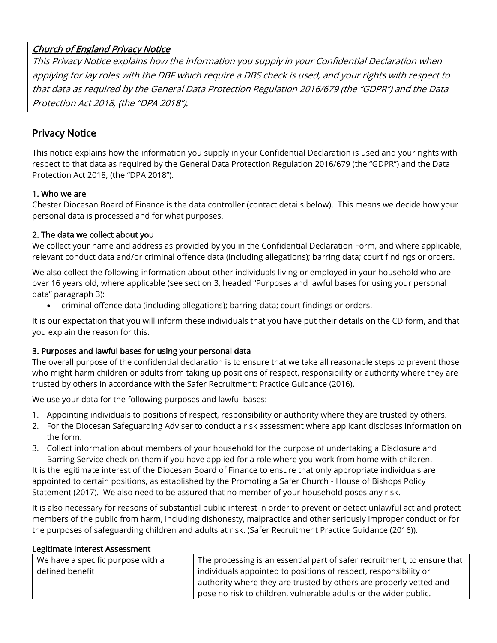# Church of England Privacy Notice

This Privacy Notice explains how the information you supply in your Confidential Declaration when applying for lay roles with the DBF which require a DBS check is used, and your rights with respect to that data as required by the General Data Protection Regulation 2016/679 (the "GDPR") and the Data Protection Act 2018, (the "DPA 2018").

# Privacy Notice

This notice explains how the information you supply in your Confidential Declaration is used and your rights with respect to that data as required by the General Data Protection Regulation 2016/679 (the "GDPR") and the Data Protection Act 2018, (the "DPA 2018").

### 1. Who we are

Chester Diocesan Board of Finance is the data controller (contact details below). This means we decide how your personal data is processed and for what purposes.

### 2. The data we collect about you

We collect your name and address as provided by you in the Confidential Declaration Form, and where applicable, relevant conduct data and/or criminal offence data (including allegations); barring data; court findings or orders.

We also collect the following information about other individuals living or employed in your household who are over 16 years old, where applicable (see section 3, headed "Purposes and lawful bases for using your personal data" paragraph 3):

• criminal offence data (including allegations); barring data; court findings or orders.

It is our expectation that you will inform these individuals that you have put their details on the CD form, and that you explain the reason for this.

## 3. Purposes and lawful bases for using your personal data

The overall purpose of the confidential declaration is to ensure that we take all reasonable steps to prevent those who might harm children or adults from taking up positions of respect, responsibility or authority where they are trusted by others in accordance with the Safer Recruitment: Practice Guidance (2016).

We use your data for the following purposes and lawful bases:

- 1. Appointing individuals to positions of respect, responsibility or authority where they are trusted by others.
- 2. For the Diocesan Safeguarding Adviser to conduct a risk assessment where applicant discloses information on the form.
- 3. Collect information about members of your household for the purpose of undertaking a Disclosure and Barring Service check on them if you have applied for a role where you work from home with children.

It is the legitimate interest of the Diocesan Board of Finance to ensure that only appropriate individuals are appointed to certain positions, as established by the Promoting a Safer Church - House of Bishops Policy Statement (2017). We also need to be assured that no member of your household poses any risk.

It is also necessary for reasons of substantial public interest in order to prevent or detect unlawful act and protect members of the public from harm, including dishonesty, malpractice and other seriously improper conduct or for the purposes of safeguarding children and adults at risk. (Safer Recruitment Practice Guidance (2016)).

#### Legitimate Interest Assessment

| We have a specific purpose with a | The processing is an essential part of safer recruitment, to ensure that |
|-----------------------------------|--------------------------------------------------------------------------|
| defined benefit                   | individuals appointed to positions of respect, responsibility or         |
|                                   | authority where they are trusted by others are properly vetted and       |
|                                   | pose no risk to children, vulnerable adults or the wider public.         |